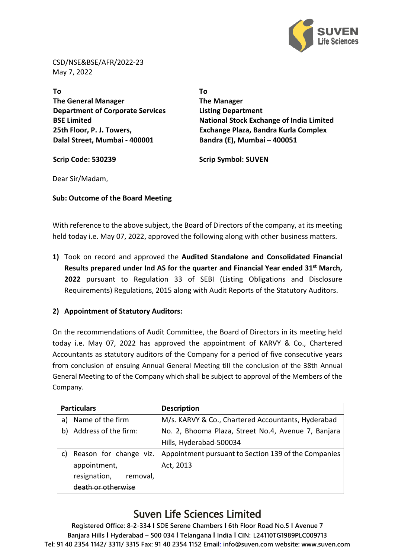

CSD/NSE&BSE/AFR/2022-23 May 7, 2022

**To The General Manager Department of Corporate Services BSE Limited 25th Floor, P. J. Towers, Dalal Street, Mumbai - 400001**

**To The Manager Listing Department National Stock Exchange of India Limited Exchange Plaza, Bandra Kurla Complex Bandra (E), Mumbai – 400051**

**Scrip Code: 530239 Scrip Symbol: SUVEN**

Dear Sir/Madam,

**Sub: Outcome of the Board Meeting**

••••••••••••••••••••••••••••••••••••••••••••••••••••••••••••••••••••••••••

With reference to the above subject, the Board of Directors of the company, at its meeting held today i.e. May 07, 2022, approved the following along with other business matters.

**1)** Took on record and approved the **Audited Standalone and Consolidated Financial Results prepared under Ind AS for the quarter and Financial Year ended 31st March, 2022** pursuant to Regulation 33 of SEBI (Listing Obligations and Disclosure Requirements) Regulations, 2015 along with Audit Reports of the Statutory Auditors.

### **2) Appointment of Statutory Auditors:**

On the recommendations of Audit Committee, the Board of Directors in its meeting held today i.e. May 07, 2022 has approved the appointment of KARVY & Co., Chartered Accountants as statutory auditors of the Company for a period of five consecutive years from conclusion of ensuing Annual General Meeting till the conclusion of the 38th Annual General Meeting to of the Company which shall be subject to approval of the Members of the Company.

| <b>Particulars</b> |                        | <b>Description</b>                                   |  |  |  |  |
|--------------------|------------------------|------------------------------------------------------|--|--|--|--|
| a)                 | Name of the firm       | M/s. KARVY & Co., Chartered Accountants, Hyderabad   |  |  |  |  |
| b)                 | Address of the firm:   | No. 2, Bhooma Plaza, Street No.4, Avenue 7, Banjara  |  |  |  |  |
|                    |                        | Hills, Hyderabad-500034                              |  |  |  |  |
| C)                 | Reason for change viz. | Appointment pursuant to Section 139 of the Companies |  |  |  |  |
|                    | appointment,           | Act, 2013                                            |  |  |  |  |
|                    | resignation,<br>remova |                                                      |  |  |  |  |
|                    |                        |                                                      |  |  |  |  |

## Suven Life Sciences Limited

**Registered Office: 8-2-334 I SDE Serene Chambers I 6th Floor Road No.5 I Avenue 7 Banjara Hills I Hyderabad – 500 034 I Telangana I India I CIN: L24110TG1989PLC009713 Tel: 91 40 2354 1142/ 3311/ 3315 Fax: 91 40 2354 1152 Email: info@suven.com website: www.suven.com**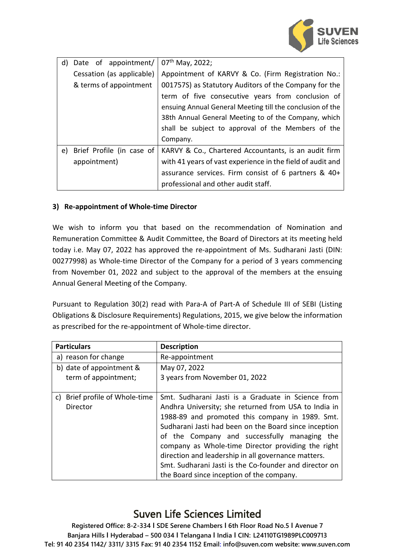

| d) | Date of appointment/      | $07th$ May, 2022;                                          |  |  |
|----|---------------------------|------------------------------------------------------------|--|--|
|    | Cessation (as applicable) | Appointment of KARVY & Co. (Firm Registration No.:         |  |  |
|    | & terms of appointment    | 001757S) as Statutory Auditors of the Company for the      |  |  |
|    |                           | term of five consecutive years from conclusion of          |  |  |
|    |                           | ensuing Annual General Meeting till the conclusion of the  |  |  |
|    |                           | 38th Annual General Meeting to of the Company, which       |  |  |
|    |                           | shall be subject to approval of the Members of the         |  |  |
|    |                           | Company.                                                   |  |  |
| e) | Brief Profile (in case of | KARVY & Co., Chartered Accountants, is an audit firm       |  |  |
|    | appointment)              | with 41 years of vast experience in the field of audit and |  |  |
|    |                           | assurance services. Firm consist of 6 partners & 40+       |  |  |
|    |                           | professional and other audit staff.                        |  |  |

### **3) Re-appointment of Whole-time Director**

We wish to inform you that based on the recommendation of Nomination and Remuneration Committee & Audit Committee, the Board of Directors at its meeting held today i.e. May 07, 2022 has approved the re-appointment of Ms. Sudharani Jasti (DIN: 00277998) as Whole-time Director of the Company for a period of 3 years commencing from November 01, 2022 and subject to the approval of the members at the ensuing Annual General Meeting of the Company.

Pursuant to Regulation 30(2) read with Para-A of Part-A of Schedule III of SEBI (Listing Obligations & Disclosure Requirements) Regulations, 2015, we give below the information as prescribed for the re-appointment of Whole-time director.

| <b>Particulars</b>             | <b>Description</b>                                     |  |  |
|--------------------------------|--------------------------------------------------------|--|--|
| a) reason for change           | Re-appointment                                         |  |  |
| b) date of appointment &       | May 07, 2022                                           |  |  |
| term of appointment;           | 3 years from November 01, 2022                         |  |  |
|                                |                                                        |  |  |
| c) Brief profile of Whole-time | Smt. Sudharani Jasti is a Graduate in Science from     |  |  |
| Director                       | Andhra University; she returned from USA to India in   |  |  |
|                                | 1988-89 and promoted this company in 1989. Smt.        |  |  |
|                                | Sudharani Jasti had been on the Board since inception  |  |  |
|                                | of the Company and successfully managing the           |  |  |
|                                | company as Whole-time Director providing the right     |  |  |
|                                | direction and leadership in all governance matters.    |  |  |
|                                | Smt. Sudharani Jasti is the Co-founder and director on |  |  |
|                                | the Board since inception of the company.              |  |  |

# Suven Life Sciences Limited

**Registered Office: 8-2-334 I SDE Serene Chambers I 6th Floor Road No.5 I Avenue 7 Banjara Hills I Hyderabad – 500 034 I Telangana I India I CIN: L24110TG1989PLC009713 Tel: 91 40 2354 1142/ 3311/ 3315 Fax: 91 40 2354 1152 Email: info@suven.com website: www.suven.com**